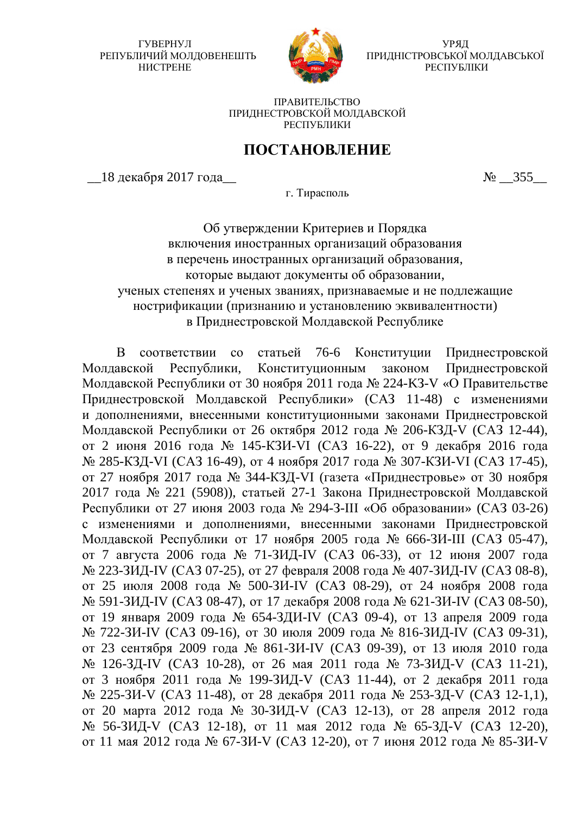ГУВЕРНУЛ РЕПУБЛИЧИЙ МОЛДОВЕНЕШТЬ HUCTPEHE



УРЯД ПРИДНІСТРОВСЬКОЇ МОЛДАВСЬКОЇ РЕСПУБЛІКИ

ПРАВИТЕЛЬСТВО ПРИЛНЕСТРОВСКОЙ МОЛЛАВСКОЙ РЕСПУБЛИКИ

## ПОСТАНОВЛЕНИЕ

 $18 \text{ } \mu\text{ } -355$   $\mu\text{ } -355$ 

г. Тирасполь

Об утверждении Критериев и Порядка включения иностранных организаций образования в перечень иностранных организаций образования. которые выдают документы об образовании, ученых степенях и ученых званиях, признаваемые и не подлежащие нострификации (признанию и установлению эквивалентности) в Приднестровской Молдавской Республике

В соответствии со статьей 76-6 Конституции Приднестровской Молдавской Республики, Конституционным законом Приднестровской Молдавской Республики от 30 ноября 2011 года № 224-KЗ-V «О Правительстве Приднестровской Молдавской Республики» (САЗ 11-48) с изменениями и дополнениями, внесенными конституционными законами Приднестровской Молдавской Республики от 26 октября 2012 года № 206-КЗД-V (САЗ 12-44), от 2 июня 2016 года № 145-КЗИ-VI (САЗ 16-22), от 9 декабря 2016 года № 285-КЗД-VI (САЗ 16-49), от 4 ноября 2017 года № 307-КЗИ-VI (САЗ 17-45), от 27 ноября 2017 года № 344-КЗД-VI (газета «Приднестровье» от 30 ноября 2017 года № 221 (5908)), статьей 27-1 Закона Приднестровской Молдавской Республики от 27 июня 2003 года № 294-З-III «Об образовании» (САЗ 03-26) с изменениями и дополнениями, внесенными законами Приднестровской Молдавской Республики от 17 ноября 2005 года № 666-ЗИ-III (САЗ 05-47), от 7 августа 2006 года № 71-ЗИД-IV (САЗ 06-33), от 12 июня 2007 года № 223-ЗИД-IV (САЗ 07-25), от 27 февраля 2008 года № 407-ЗИД-IV (САЗ 08-8), от 25 июля 2008 года № 500-ЗИ-IV (САЗ 08-29), от 24 ноября 2008 года № 591-ЗИД-IV (САЗ 08-47), от 17 декабря 2008 года № 621-ЗИ-IV (САЗ 08-50), от 19 января 2009 года № 654-ЗДИ-IV (САЗ 09-4), от 13 апреля 2009 года № 722-ЗИ-IV (САЗ 09-16), от 30 июля 2009 года № 816-ЗИД-IV (САЗ 09-31), от 23 сентября 2009 года № 861-ЗИ-IV (САЗ 09-39), от 13 июля 2010 года № 126-ЗД-IV (САЗ 10-28), от 26 мая 2011 года № 73-ЗИД-V (САЗ 11-21), от 3 ноября 2011 года № 199-ЗИД-V (САЗ 11-44), от 2 декабря 2011 года № 225-ЗИ-V (САЗ 11-48), от 28 декабря 2011 года № 253-ЗД-V (САЗ 12-1,1), от 20 марта 2012 года № 30-ЗИД-V (САЗ 12-13), от 28 апреля 2012 года № 56-ЗИД-V (САЗ 12-18), от 11 мая 2012 года № 65-ЗД-V (САЗ 12-20), от 11 мая 2012 года № 67-ЗИ-V (САЗ 12-20), от 7 июня 2012 года № 85-ЗИ-V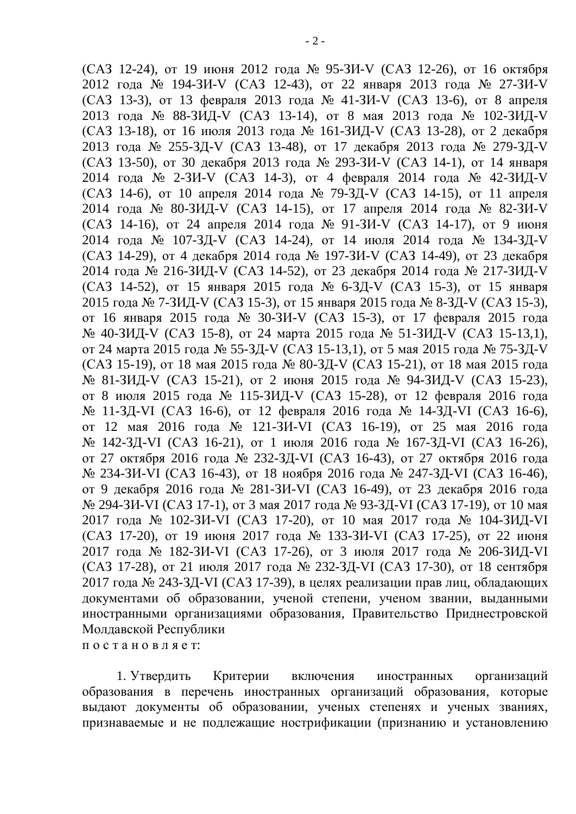$(CA3 12-24)$ , от 19 июня 2012 года № 95-ЗИ-V  $(CA3 12-26)$ , от 16 октября 2012 года № 194-ЗИ-V (САЗ 12-43), от 22 января 2013 года № 27-ЗИ-V  $(CA3 13-3)$ , от 13 февраля 2013 года № 41-ЗИ-V (САЗ 13-6), от 8 апреля 2013 года № 88-ЗИД-V (САЗ 13-14), от 8 мая 2013 года № 102-ЗИД-V  $(CA3 13-18)$ , от 16 июля 2013 года № 161-ЗИД-V (САЗ 13-28), от 2 декабря 2013 года № 255-ЗД-V (САЗ 13-48), от 17 декабря 2013 года № 279-ЗД-V  $(CA3 13-50)$ , от 30 декабря 2013 года № 293-ЗИ-V (САЗ 14-1), от 14 января 2014 года № 2-ЗИ-V (САЗ 14-3), от 4 февраля 2014 года № 42-ЗИД-V  $(CA3 14-6)$ , от 10 апреля 2014 года № 79-ЗД-V (САЗ 14-15), от 11 апреля 2014 года № 80-ЗИД-V (САЗ 14-15), от 17 апреля 2014 года № 82-ЗИ-V (САЗ 14-16), от 24 апреля 2014 года № 91-ЗИ-V (САЗ 14-17), от 9 июня 2014 года № 107-ЗД-V (САЗ 14-24), от 14 июля 2014 года № 134-ЗД-V  $(CA3 14-29)$ , от 4 декабря 2014 года № 197-ЗИ-V (САЗ 14-49), от 23 декабря 2014 года № 216-ЗИД-V (САЗ 14-52), от 23 декабря 2014 года № 217-ЗИД-V  $(CA3 14-52)$ , от 15 января 2015 года № 6-ЗД-V (САЗ 15-3), от 15 января 2015 года № 7-ЗИД-V (САЗ 15-3), от 15 января 2015 года № 8-ЗД-V (САЗ 15-3), от 16 января 2015 года № 30-ЗИ-V (САЗ 15-3), от 17 февраля 2015 года № 40-ЗИД-V (САЗ 15-8), от 24 марта 2015 года № 51-ЗИД-V (САЗ 15-13,1), от 24 марта 2015 года № 55-ЗД-V (САЗ 15-13,1), от 5 мая 2015 года № 75-ЗД-V (CA3 15-19), or 18  $_{\text{MAX}}$  2015 года № 80-ЗД-V (САЗ 15-21), от 18 мая 2015 года № 81-ЗИД-V (САЗ 15-21), от 2 июня 2015 года № 94-ЗИД-V (САЗ 15-23), от 8 июля 2015 года № 115-ЗИД-V (САЗ 15-28), от 12 февраля 2016 года № 11-ЗД-VI (САЗ 16-6), от 12 февраля 2016 года № 14-ЗД-VI (САЗ 16-6), от 12 мая 2016 года № 121-ЗИ-VI (САЗ 16-19), от 25 мая 2016 года № 142-ЗД-VI (САЗ 16-21), от 1 июля 2016 года № 167-ЗД-VI (САЗ 16-26), от 27 октября 2016 года № 232-ЗД-VI (САЗ 16-43), от 27 октября 2016 года № 234-ЗИ-VI (САЗ 16-43), от 18 ноября 2016 года № 247-ЗД-VI (САЗ 16-46), от 9 декабря 2016 года № 281-ЗИ-VI (САЗ 16-49), от 23 декабря 2016 года № 294-ЗИ-VI (САЗ 17-1), от 3 мая 2017 года № 93-ЗД-VI (САЗ 17-19), от 10 мая 2017 года № 102-ЗИ-VI (САЗ 17-20), от 10 мая 2017 года № 104-ЗИД-VI  $(CA3 17-20)$ , ot 19 июня 2017 года № 133-3И-VI (САЗ 17-25), от 22 июня 2017 года № 182-ЗИ-VI (САЗ 17-26), от 3 июля 2017 года № 206-ЗИД-VI (САЗ 17-28), от 21 июля 2017 года № 232-ЗД-VI (САЗ 17-30), от 18 сентября 2017 года № 243-ЗД-VI (САЗ 17-39), в целях реализации прав лиц, обладающих документами об образовании, ученой степени, ученом звании, выданными иностранными организациями образования, Правительство Приднестровской Молдавской Республики постановляет:

1. Утвердить Критерии включения иностранных организаций образования в перечень иностранных организаций образования, которые выдают документы об образовании, ученых степенях и ученых званиях, признаваемые и не подлежащие нострификации (признанию и установлению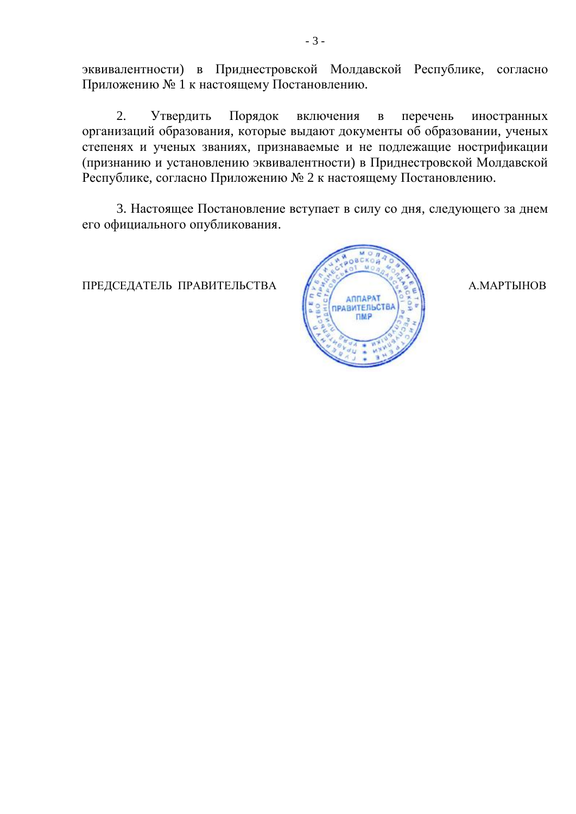эквивалентности) в Приднестровской Молдавской Республике, согласно Приложению № 1 к настоящему Постановлению.

2. Утвердить Порядок включения в перечень иностранных организаций образования, которые выдают документы об образовании, ученых степенях и ученых званиях, признаваемые и не подлежащие нострификации (признанию и установлению эквивалентности) в Приднестровской Молдавской Республике, согласно Приложению № 2 к настоящему Постановлению.

3. Настоящее Постановление вступает в силу со дня, следующего за днем его официального опубликования.

ПРЕДСЕДАТЕЛЬ ПРАВИТЕЛЬСТВА ( УСТАНИЯ ) А.МАРТЫНОВ

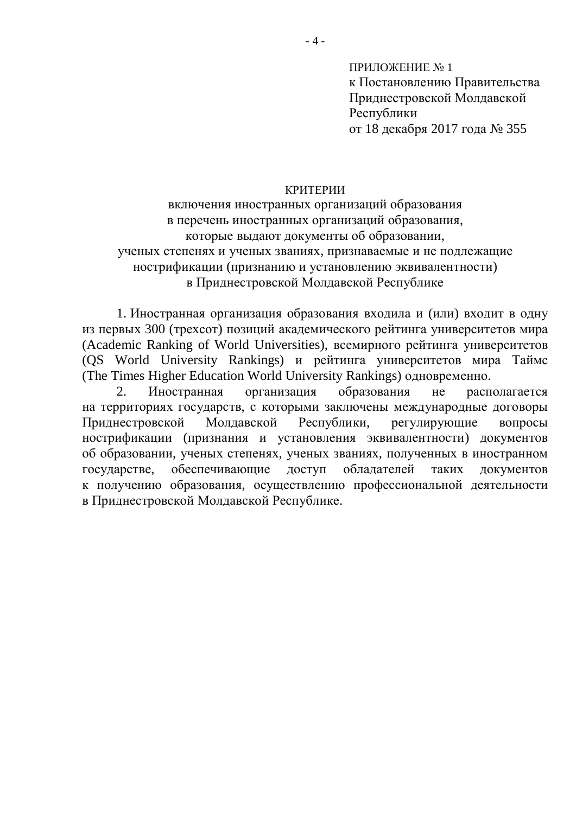ПРИЛОЖЕНИЕ № 1 к Постановлению Правительства Приднестровской Молдавской Республики от 18 декабря 2017 года № 355

## КРИТЕРИИ

включения иностранных организаций образования в перечень иностранных организаций образования, которые выдают документы об образовании, ученых степенях и ученых званиях, признаваемые и не подлежащие нострификации (признанию и установлению эквивалентности) в Приднестровской Молдавской Республике

1. Иностранная организация образования входила и (или) входит в одну из первых 300 (трехсот) позиций академического рейтинга университетов мира (Academic Ranking of World Universities), всемирного рейтинга университетов (QS World University Rankings) и рейтинга университетов мира Таймс (The Times Higher Education World University Rankings) одновременно.

2. Иностранная организация образования не располагается на территориях государств, с которыми заключены международные договоры Приднестровской Молдавской Республики, регулирующие вопросы нострификации (признания и установления эквивалентности) документов об образовании, ученых степенях, ученых званиях, полученных в иностранном государстве, обеспечивающие доступ обладателей таких документов к получению образования, осуществлению профессиональной деятельности в Приднестровской Молдавской Республике.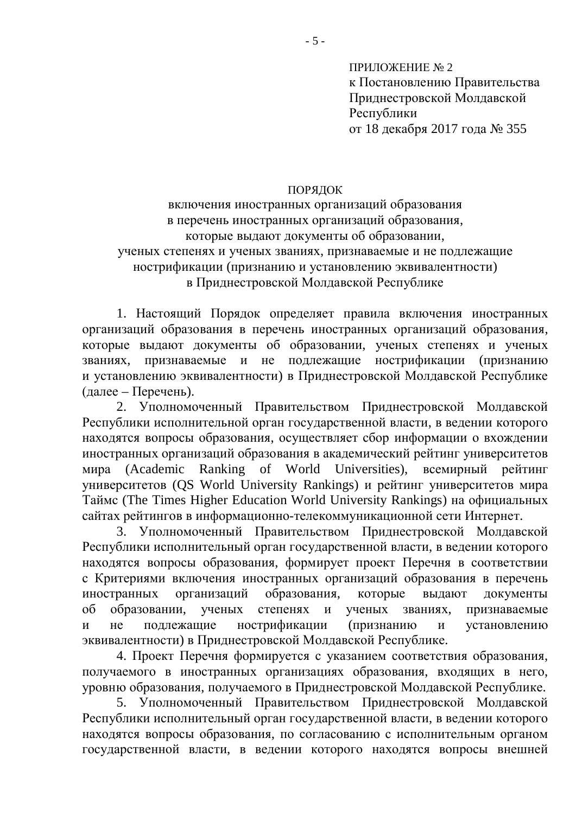ПРИЛОЖЕНИЕ № 2 к Постановлению Правительства Приднестровской Молдавской Республики от 18 декабря 2017 года № 355

## ПОРЯДОК

включения иностранных организаций образования в перечень иностранных организаций образования, которые выдают документы об образовании, ученых степенях и ученых званиях, признаваемые и не подлежащие нострификации (признанию и установлению эквивалентности) в Приднестровской Молдавской Республике

1. Настоящий Порядок определяет правила включения иностранных организаций образования в перечень иностранных организаций образования, которые выдают документы об образовании, ученых степенях и ученых званиях, признаваемые и не подлежащие нострификации (признанию и установлению эквивалентности) в Приднестровской Молдавской Республике (далее – Перечень).

2. Уполномоченный Правительством Приднестровской Молдавской Республики исполнительной орган государственной власти, в ведении которого находятся вопросы образования, осуществляет сбор информации о вхождении иностранных организаций образования в академический рейтинг университетов мира (Academic Ranking of World Universities), всемирный рейтинг VHИВЕРСИТЕТОВ (OS World University Rankings) и рейтинг университетов мира Таймс (The Times Higher Education World University Rankings) на официальных сайтах рейтингов в информационно-телекоммуникационной сети Интернет.

3. Уполномоченный Правительством Приднестровской Молдавской Республики исполнительный орган государственной власти, в ведении которого находятся вопросы образования, формирует проект Перечня в соответствии с Критериями включения иностранных организаций образования в перечень иностранных организаций образования, которые выдают документы об образовании, ученых степенях и ученых званиях, признаваемые и не подлежащие нострификации (признанию и установлению эквивалентности) в Прилнестровской Моллавской Республике.

4. Проект Перечня формируется с указанием соответствия образования, получаемого в иностранных организациях образования, входящих в него, уровню образования, получаемого в Приднестровской Молдавской Республике.

5. Уполномоченный Правительством Приднестровской Молдавской Республики исполнительный орган государственной власти, в ведении которого находятся вопросы образования, по согласованию с исполнительным органом государственной власти, в ведении которого находятся вопросы внешней